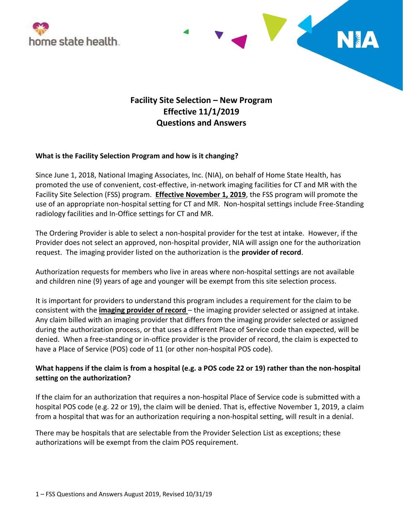



# **Facility Site Selection – New Program Effective 11/1/2019 Questions and Answers**

### **What is the Facility Selection Program and how is it changing?**

Since June 1, 2018, National Imaging Associates, Inc. (NIA), on behalf of Home State Health, has promoted the use of convenient, cost-effective, in-network imaging facilities for CT and MR with the Facility Site Selection (FSS) program. **Effective November 1, 2019**, the FSS program will promote the use of an appropriate non-hospital setting for CT and MR. Non-hospital settings include Free-Standing radiology facilities and In-Office settings for CT and MR.

The Ordering Provider is able to select a non-hospital provider for the test at intake. However, if the Provider does not select an approved, non-hospital provider, NIA will assign one for the authorization request. The imaging provider listed on the authorization is the **provider of record**.

Authorization requests for members who live in areas where non-hospital settings are not available and children nine (9) years of age and younger will be exempt from this site selection process.

It is important for providers to understand this program includes a requirement for the claim to be consistent with the **imaging provider of record** – the imaging provider selected or assigned at intake. Any claim billed with an imaging provider that differs from the imaging provider selected or assigned during the authorization process, or that uses a different Place of Service code than expected, will be denied. When a free-standing or in-office provider is the provider of record, the claim is expected to have a Place of Service (POS) code of 11 (or other non-hospital POS code).

## **What happens if the claim is from a hospital (e.g. a POS code 22 or 19) rather than the non-hospital setting on the authorization?**

If the claim for an authorization that requires a non-hospital Place of Service code is submitted with a hospital POS code (e.g. 22 or 19), the claim will be denied. That is, effective November 1, 2019, a claim from a hospital that was for an authorization requiring a non-hospital setting, will result in a denial.

There may be hospitals that are selectable from the Provider Selection List as exceptions; these authorizations will be exempt from the claim POS requirement.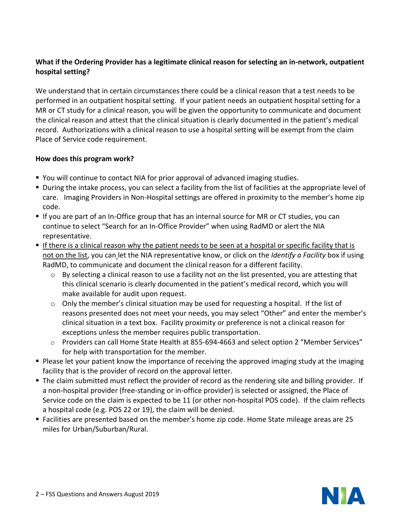# **What if the Ordering Provider has a legitimate clinical reason for selecting an in-network, outpatient hospital setting?**

We understand that in certain circumstances there could be a clinical reason that a test needs to be performed in an outpatient hospital setting. If your patient needs an outpatient hospital setting for a MR or CT study for a clinical reason, you will be given the opportunity to communicate and document the clinical reason and attest that the clinical situation is clearly documented in the patient's medical record. Authorizations with a clinical reason to use a hospital setting will be exempt from the claim Place of Service code requirement.

### **How does this program work?**

- You will continue to contact NIA for prior approval of advanced imaging studies.
- During the intake process, you can select a facility from the list of facilities at the appropriate level of care. Imaging Providers in Non-Hospital settings are offered in proximity to the member's home zip code.
- If you are part of an In-Office group that has an internal source for MR or CT studies, you can continue to select "Search for an In-Office Provider" when using RadMD or alert the NIA representative.
- If there is a clinical reason why the patient needs to be seen at a hospital or specific facility that is not on the list, you can let the NIA representative know, or click on the *Identify a Facility* box if using RadMD, to communicate and document the clinical reason for a different facility.
	- $\circ$  By selecting a clinical reason to use a facility not on the list presented, you are attesting that this clinical scenario is clearly documented in the patient's medical record, which you will make available for audit upon request.
	- $\circ$  Only the member's clinical situation may be used for requesting a hospital. If the list of reasons presented does not meet your needs, you may select "Other" and enter the member's clinical situation in a text box. Facility proximity or preference is not a clinical reason for exceptions unless the member requires public transportation.
	- o Providers can call Home State Health at 855-694-4663 and select option 2 "Member Services" for help with transportation for the member.
- **Please let your patient know the importance of receiving the approved imaging study at the imaging** facility that is the provider of record on the approval letter.
- The claim submitted must reflect the provider of record as the rendering site and billing provider. If a non-hospital provider (free-standing or in-office provider) is selected or assigned, the Place of Service code on the claim is expected to be 11 (or other non-hospital POS code). If the claim reflects a hospital code (e.g. POS 22 or 19), the claim will be denied.
- Facilities are presented based on the member's home zip code. Home State mileage areas are 25 miles for Urban/Suburban/Rural.